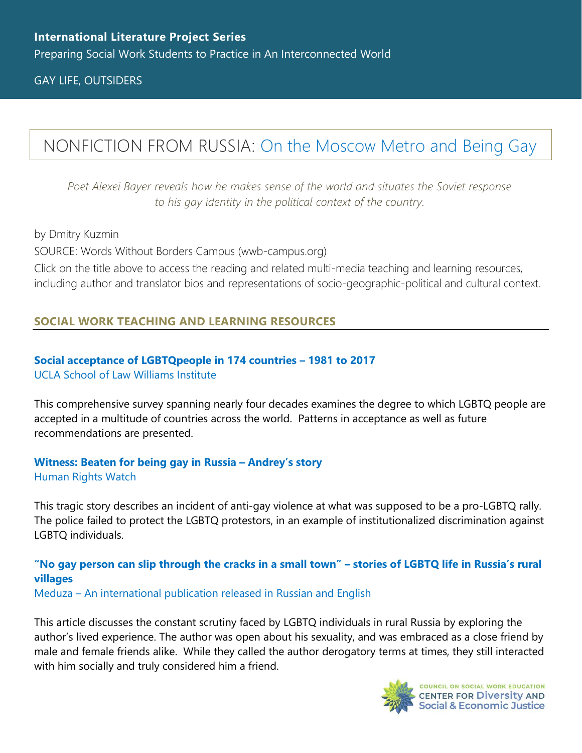GAY LIFE, OUTSIDERS

# NONFICTION FROM RUSSIA: [On the Moscow Metro and Being Gay](https://www.wwb-campus.org/literature/on-the-moscow-metro-and-being-gay)

*Poet Alexei Bayer reveals how he makes sense of the world and situates the Soviet response to his gay identity in the political context of the country.*

by Dmitry Kuzmin SOURCE: Words Without Borders Campus (wwb-campus.org) Click on the title above to access the reading and related multi-media teaching and learning resources, including author and translator bios and representations of socio-geographic-political and cultural context.

## **SOCIAL WORK TEACHING AND LEARNING RESOURCES**

#### **[Social acceptance of LGBTQpeople in 174 countries](https://williamsinstitute.law.ucla.edu/wp-content/uploads/Global-Acceptance-Index-LGBT-Oct-2019.pdf) – 1981 to 2017** [UCLA School of Law Williams Institute](https://williamsinstitute.law.ucla.edu/wp-content/uploads/Global-Acceptance-Index-LGBT-Oct-2019.pdf)

This comprehensive survey spanning nearly four decades examines the degree to which LGBTQ people are accepted in a multitude of countries across the world. Patterns in acceptance as well as future recommendations are presented.

### **[Witness: Beaten for being gay in Russia](https://www.hrw.org/news/2014/12/15/witness-beaten-being-gay-russia-andreys-story) – Andrey's story** [Human Rights Watch](https://www.hrw.org/news/2014/12/15/witness-beaten-being-gay-russia-andreys-story)

This tragic story describes an incident of anti-gay violence at what was supposed to be a pro-LGBTQ rally. The police failed to protect the LGBTQ protestors, in an example of institutionalized discrimination against LGBTQ individuals.

# **["No gay person can slip through the cracks in a small town"](https://meduza.io/en/feature/2019/07/08/no-gay-person-can-slip-through-the-cracks-in-a-small-town) – stories of LGBTQ life in Russia's rural [villages](https://meduza.io/en/feature/2019/07/08/no-gay-person-can-slip-through-the-cracks-in-a-small-town)**

Meduza – [An international publication released in Russian and English](https://meduza.io/en/feature/2019/07/08/no-gay-person-can-slip-through-the-cracks-in-a-small-town)

This article discusses the constant scrutiny faced by LGBTQ individuals in rural Russia by exploring the author's lived experience. The author was open about his sexuality, and was embraced as a close friend by male and female friends alike. While they called the author derogatory terms at times, they still interacted with him socially and truly considered him a friend.